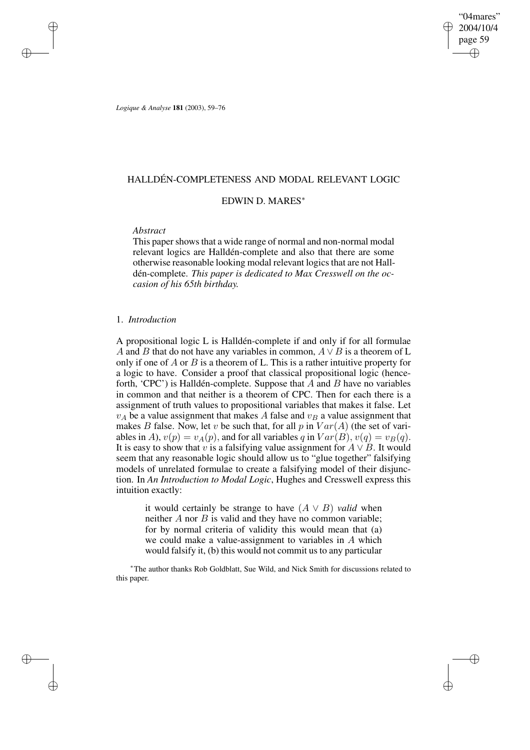"04mares" 2004/10/4 page 59 ✐ ✐

✐

✐

*Logique & Analyse* **181** (2003), 59–76

✐

✐

✐

✐

# HALLDÉN-COMPLETENESS AND MODAL RELEVANT LOGIC

# EDWIN D. MARES<sup>∗</sup>

# *Abstract*

This paper shows that a wide range of normal and non-normal modal relevant logics are Halldén-complete and also that there are some otherwise reasonable looking modal relevant logics that are not Halldén-complete. *This paper is dedicated to Max Cresswell on the occasion of his 65th birthday.*

# 1. *Introduction*

A propositional logic L is Halldén-complete if and only if for all formulae A and B that do not have any variables in common,  $A \vee B$  is a theorem of L only if one of  $A$  or  $B$  is a theorem of L. This is a rather intuitive property for a logic to have. Consider a proof that classical propositional logic (henceforth, 'CPC') is Halldén-complete. Suppose that  $\overline{A}$  and  $\overline{B}$  have no variables in common and that neither is a theorem of CPC. Then for each there is a assignment of truth values to propositional variables that makes it false. Let  $v_A$  be a value assignment that makes A false and  $v_B$  a value assignment that makes B false. Now, let v be such that, for all p in  $Var(A)$  (the set of variables in A),  $v(p) = v_A(p)$ , and for all variables q in  $Var(B)$ ,  $v(q) = v_B(q)$ . It is easy to show that v is a falsifying value assignment for  $A \vee B$ . It would seem that any reasonable logic should allow us to "glue together" falsifying models of unrelated formulae to create a falsifying model of their disjunction. In *An Introduction to Modal Logic*, Hughes and Cresswell express this intuition exactly:

it would certainly be strange to have  $(A \vee B)$  *valid* when neither  $A$  nor  $B$  is valid and they have no common variable; for by normal criteria of validity this would mean that (a) we could make a value-assignment to variables in A which would falsify it, (b) this would not commit us to any particular

<sup>∗</sup>The author thanks Rob Goldblatt, Sue Wild, and Nick Smith for discussions related to this paper.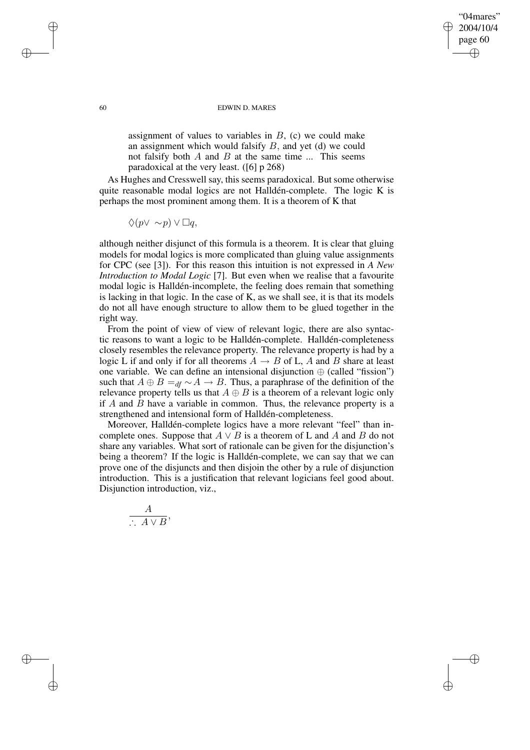## 60 EDWIN D. MARES

"04mares" 2004/10/4 page 60

✐

✐

✐

✐

assignment of values to variables in  $B$ , (c) we could make an assignment which would falsify B, and yet (d) we could not falsify both  $A$  and  $B$  at the same time  $\ldots$  This seems paradoxical at the very least. ([6] p 268)

As Hughes and Cresswell say, this seems paradoxical. But some otherwise quite reasonable modal logics are not Halldén-complete. The logic K is perhaps the most prominent among them. It is a theorem of K that

 $\Diamond(p \vee \sim p) \vee \Box q,$ 

although neither disjunct of this formula is a theorem. It is clear that gluing models for modal logics is more complicated than gluing value assignments for CPC (see [3]). For this reason this intuition is not expressed in *A New Introduction to Modal Logic* [7]. But even when we realise that a favourite modal logic is Halldén-incomplete, the feeling does remain that something is lacking in that logic. In the case of K, as we shall see, it is that its models do not all have enough structure to allow them to be glued together in the right way.

From the point of view of view of relevant logic, there are also syntactic reasons to want a logic to be Halldén-complete. Halldén-completeness closely resembles the relevance property. The relevance property is had by a logic L if and only if for all theorems  $A \rightarrow B$  of L, A and B share at least one variable. We can define an intensional disjunction  $\oplus$  (called "fission") such that  $A \oplus B =_{df} \sim A \rightarrow B$ . Thus, a paraphrase of the definition of the relevance property tells us that  $A \oplus B$  is a theorem of a relevant logic only if  $A$  and  $\overline{B}$  have a variable in common. Thus, the relevance property is a strengthened and intensional form of Halldén-completeness.

Moreover, Halldén-complete logics have a more relevant "feel" than incomplete ones. Suppose that  $A \vee B$  is a theorem of L and A and B do not share any variables. What sort of rationale can be given for the disjunction's being a theorem? If the logic is Halldén-complete, we can say that we can prove one of the disjuncts and then disjoin the other by a rule of disjunction introduction. This is a justification that relevant logicians feel good about. Disjunction introduction, viz.,

$$
\frac{A}{\therefore A \vee B},
$$

✐

✐

✐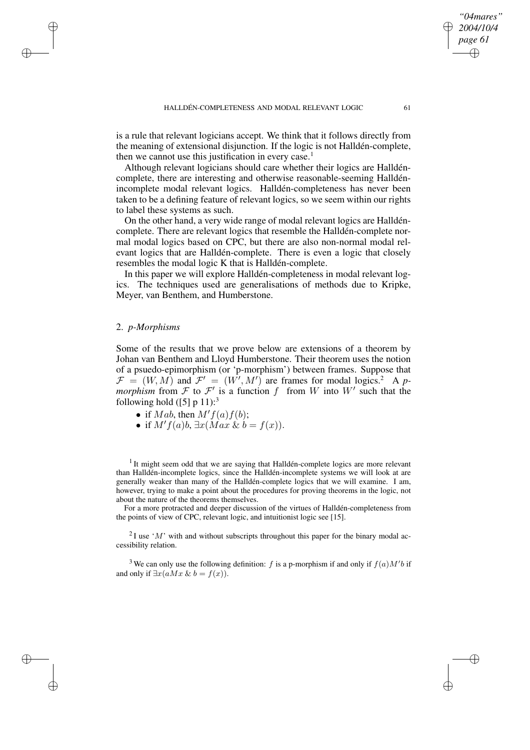is a rule that relevant logicians accept. We think that it follows directly from the meaning of extensional disjunction. If the logic is not Halldén-complete, then we cannot use this justification in every case.<sup>1</sup>

Although relevant logicians should care whether their logics are Halldéncomplete, there are interesting and otherwise reasonable-seeming Halldénincomplete modal relevant logics. Halldén-completeness has never been taken to be a defining feature of relevant logics, so we seem within our rights to label these systems as such.

On the other hand, a very wide range of modal relevant logics are Halldéncomplete. There are relevant logics that resemble the Halldén-complete normal modal logics based on CPC, but there are also non-normal modal relevant logics that are Halldén-complete. There is even a logic that closely resembles the modal logic K that is Halldén-complete.

In this paper we will explore Halldén-completeness in modal relevant logics. The techniques used are generalisations of methods due to Kripke, Meyer, van Benthem, and Humberstone.

# 2. *p-Morphisms*

✐

✐

✐

✐

Some of the results that we prove below are extensions of a theorem by Johan van Benthem and Lloyd Humberstone. Their theorem uses the notion of a psuedo-epimorphism (or 'p-morphism') between frames. Suppose that  $\mathcal{F} = (W, M)$  and  $\mathcal{F}' = (W', M')$  are frames for modal logics.<sup>2</sup> A p*morphism* from  $\mathcal F$  to  $\mathcal F'$  is a function f from W into W' such that the following hold  $([5]$  p 11):<sup>3</sup>

- if Mab, then  $M'f(a)f(b)$ ;
- if  $M'f(a)b$ ,  $\exists x(Max \& b = f(x)).$

<sup>1</sup> It might seem odd that we are saying that Halldén-complete logics are more relevant than Halldén-incomplete logics, since the Halldén-incomplete systems we will look at are generally weaker than many of the Halldén-complete logics that we will examine. I am, however, trying to make a point about the procedures for proving theorems in the logic, not about the nature of the theorems themselves.

For a more protracted and deeper discussion of the virtues of Halldén-completeness from the points of view of CPC, relevant logic, and intuitionist logic see [15].

<sup>2</sup>I use 'M' with and without subscripts throughout this paper for the binary modal accessibility relation.

<sup>3</sup> We can only use the following definition: f is a p-morphism if and only if  $f(a)M'b$  if and only if  $\exists x(aMx \& b = f(x))$ .

*"04mares" 2004/10/4 page 61*

✐

✐

✐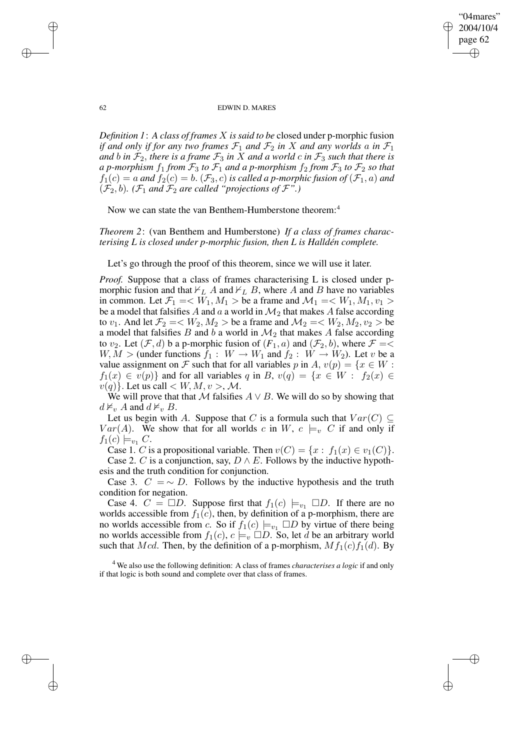✐

#### 62 EDWIN D. MARES

*Definition 1*: *A class of frames* X *is said to be* closed under p-morphic fusion *if* and only *if for* any *two frames*  $\mathcal{F}_1$  *and*  $\mathcal{F}_2$  *in* X *and any worlds a in*  $\mathcal{F}_1$ *and b in*  $\mathcal{F}_2$ *, there is a frame*  $\mathcal{F}_3$  *in* X *and a world c in*  $\mathcal{F}_3$  *such that there is a p*-morphism  $f_1$  *from*  $\mathcal{F}_3$  *to*  $\mathcal{F}_1$  *and a p*-morphism  $f_2$  *from*  $\mathcal{F}_3$  *to*  $\mathcal{F}_2$  *so that*  $f_1(c) = a$  and  $f_2(c) = b$ .  $(\mathcal{F}_3, c)$  *is called a p-morphic fusion of*  $(\mathcal{F}_1, a)$  and  $(\mathcal{F}_2, b)$ *.*  $(\mathcal{F}_1$  *and*  $\mathcal{F}_2$  *are called "projections of*  $\mathcal{F}$ "*.*)

Now we can state the van Benthem-Humberstone theorem:<sup>4</sup>

*Theorem 2*: (van Benthem and Humberstone) *If a class of frames characterising L is closed under p-morphic fusion, then L is Halldén complete.*

Let's go through the proof of this theorem, since we will use it later.

*Proof.* Suppose that a class of frames characterising L is closed under pmorphic fusion and that  $\nvdash_L A$  and  $\nvdash_L B$ , where A and B have no variables in common. Let  $\mathcal{F}_1 = \langle W_1, M_1 \rangle$  be a frame and  $\mathcal{M}_1 = \langle W_1, M_1, v_1 \rangle$ be a model that falsifies A and a a world in  $\mathcal{M}_2$  that makes A false according to  $v_1$ . And let  $\mathcal{F}_2 = \langle W_2, M_2 \rangle$  be a frame and  $\mathcal{M}_2 = \langle W_2, M_2, v_2 \rangle$  be a model that falsifies  $B$  and  $b$  a world in  $\mathcal{M}_2$  that makes  $A$  false according to  $v_2$ . Let  $(\mathcal{F}, d)$  b a p-morphic fusion of  $(F_1, a)$  and  $(\mathcal{F}_2, b)$ , where  $\mathcal{F} = \langle$  $W, M >$  (under functions  $f_1 : W \to W_1$  and  $f_2 : W \to W_2$ ). Let v be a value assignment on F such that for all variables p in A,  $v(p) = \{x \in W :$  $f_1(x) \in v(p)$  and for all variables q in B,  $v(q) = \{x \in W : f_2(x) \in$  $v(q)$ . Let us call  $\lt W, M, v > M$ .

We will prove that that M falsifies  $A \vee B$ . We will do so by showing that  $d \nvDash_v A$  and  $d \nvDash_v B$ .

Let us begin with A. Suppose that C is a formula such that  $Var(C) \subseteq$  $Var(A)$ . We show that for all worlds c in W,  $c \models_v C$  if and only if  $f_1(c) \models_{v_1} C$ .

Case 1. C is a propositional variable. Then  $v(C) = \{x : f_1(x) \in v_1(C)\}.$ Case 2. C is a conjunction, say,  $D \wedge E$ . Follows by the inductive hypothesis and the truth condition for conjunction.

Case 3.  $C = \sim D$ . Follows by the inductive hypothesis and the truth condition for negation.

Case 4.  $C = \Box D$ . Suppose first that  $f_1(c) \models_{v_1} \Box D$ . If there are no worlds accessible from  $f_1(c)$ , then, by definition of a p-morphism, there are no worlds accessible from c. So if  $f_1(c) \models_{v_1} \Box D$  by virtue of there being no worlds accessible from  $f_1(c)$ ,  $c \models_v \Box D$ . So, let d be an arbitrary world such that Mcd. Then, by the definition of a p-morphism,  $Mf_1(c)f_1(d)$ . By

<sup>4</sup> We also use the following definition: A class of frames *characterises a logic* if and only if that logic is both sound and complete over that class of frames.

✐

✐

✐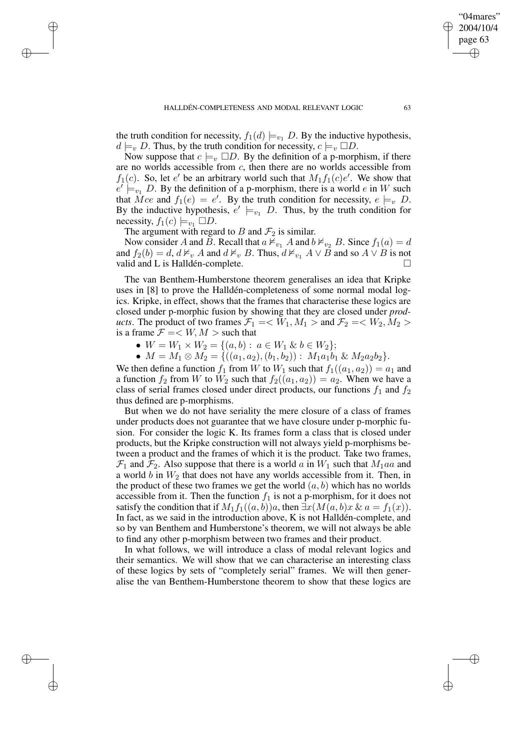the truth condition for necessity,  $f_1(d) \models_{v_1} D$ . By the inductive hypothesis,  $d \models_v D$ . Thus, by the truth condition for necessity,  $c \models_v \Box D$ .

Now suppose that  $c \models_{v} \Box D$ . By the definition of a p-morphism, if there are no worlds accessible from c, then there are no worlds accessible from  $f_1(c)$ . So, let e' be an arbitrary world such that  $M_1 f_1(c)e'$ . We show that  $e' \models_{v_1} D$ . By the definition of a p-morphism, there is a world e in W such that  $\overline{M}$ ce and  $f_1(e) = e'$ . By the truth condition for necessity,  $e \models_v D$ . By the inductive hypothesis,  $e' \models_{v_1} D$ . Thus, by the truth condition for necessity,  $f_1(c) \models_{v_1} \Box D$ .

The argument with regard to B and  $\mathcal{F}_2$  is similar.

✐

✐

✐

✐

Now consider A and B. Recall that  $a \nvDash_{v_1} A$  and  $b \nvDash_{v_2} B$ . Since  $f_1(a) = d$ and  $f_2(b) = d$ ,  $d \nvDash_v A$  and  $d \nvDash_v B$ . Thus,  $d \nvDash_{v_1} A \vee B$  and so  $A \vee B$  is not valid and L is Halldén-complete.

The van Benthem-Humberstone theorem generalises an idea that Kripke uses in [8] to prove the Halldén-completeness of some normal modal logics. Kripke, in effect, shows that the frames that characterise these logics are closed under p-morphic fusion by showing that they are closed under *products*. The product of two frames  $\mathcal{F}_1 = \langle W_1, M_1 \rangle$  and  $\mathcal{F}_2 = \langle W_2, M_2 \rangle$ is a frame  $\mathcal{F} = \langle W, M \rangle$  such that

•  $W = W_1 \times W_2 = \{(a, b): a \in W_1 \& b \in W_2\};$ 

•  $M = M_1 \otimes M_2 = \{((a_1, a_2), (b_1, b_2)) : M_1a_1b_1 \& M_2a_2b_2\}.$ 

We then define a function  $f_1$  from W to  $W_1$  such that  $f_1((a_1, a_2)) = a_1$  and a function  $f_2$  from W to  $W_2$  such that  $f_2((a_1, a_2)) = a_2$ . When we have a class of serial frames closed under direct products, our functions  $f_1$  and  $f_2$ thus defined are p-morphisms.

But when we do not have seriality the mere closure of a class of frames under products does not guarantee that we have closure under p-morphic fusion. For consider the logic K. Its frames form a class that is closed under products, but the Kripke construction will not always yield p-morphisms between a product and the frames of which it is the product. Take two frames,  $\mathcal{F}_1$  and  $\mathcal{F}_2$ . Also suppose that there is a world a in  $W_1$  such that  $M_1aa$  and a world  $b$  in  $W_2$  that does not have any worlds accessible from it. Then, in the product of these two frames we get the world  $(a, b)$  which has no worlds accessible from it. Then the function  $f_1$  is not a p-morphism, for it does not satisfy the condition that if  $M_1f_1((a, b))a$ , then  $\exists x(M(a, b)x \& a = f_1(x))$ . In fact, as we said in the introduction above, K is not Halldén-complete, and so by van Benthem and Humberstone's theorem, we will not always be able to find any other p-morphism between two frames and their product.

In what follows, we will introduce a class of modal relevant logics and their semantics. We will show that we can characterise an interesting class of these logics by sets of "completely serial" frames. We will then generalise the van Benthem-Humberstone theorem to show that these logics are

"04mares" 2004/10/4 page 63

✐

✐

✐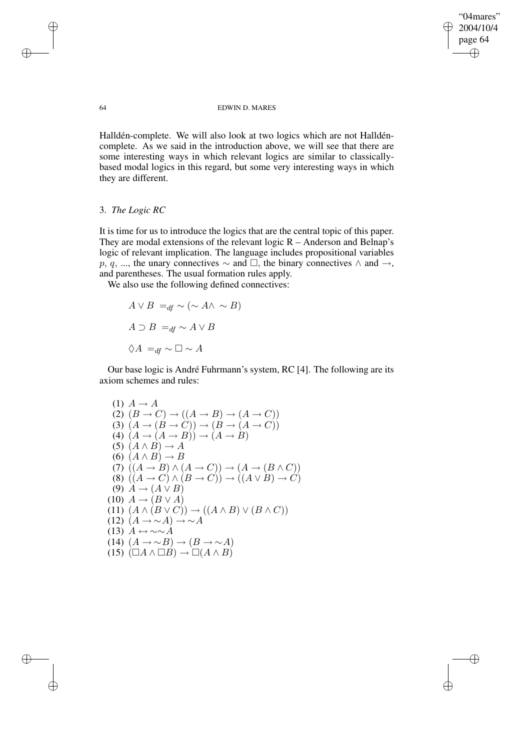"04mares" 2004/10/4 page 64 ✐ ✐

 $\bigoplus$ 

✐

## 64 EDWIN D. MARES

Halldén-complete. We will also look at two logics which are not Halldéncomplete. As we said in the introduction above, we will see that there are some interesting ways in which relevant logics are similar to classicallybased modal logics in this regard, but some very interesting ways in which they are different.

# 3. *The Logic RC*

It is time for us to introduce the logics that are the central topic of this paper. They are modal extensions of the relevant logic  $R -$  Anderson and Belnap's logic of relevant implication. The language includes propositional variables p, q, ..., the unary connectives  $\sim$  and  $\Box$ , the binary connectives  $\land$  and  $\rightarrow$ , and parentheses. The usual formation rules apply.

We also use the following defined connectives:

$$
A \lor B =_{df} \sim (\sim A \land \sim B)
$$
  

$$
A \supset B =_{df} \sim A \lor B
$$
  

$$
\Diamond A =_{df} \sim \Box \sim A
$$

Our base logic is André Fuhrmann's system, RC [4]. The following are its axiom schemes and rules:

(1) 
$$
A \rightarrow A
$$
  
\n(2)  $(B \rightarrow C) \rightarrow ((A \rightarrow B) \rightarrow (A \rightarrow C))$   
\n(3)  $(A \rightarrow (B \rightarrow C)) \rightarrow (B \rightarrow (A \rightarrow C))$   
\n(4)  $(A \rightarrow (A \rightarrow B)) \rightarrow (A \rightarrow B)$   
\n(5)  $(A \land B) \rightarrow A$   
\n(6)  $(A \land B) \rightarrow B$   
\n(7)  $((A \rightarrow B) \land (A \rightarrow C)) \rightarrow (A \rightarrow (B \land C))$   
\n(8)  $((A \rightarrow C) \land (B \rightarrow C)) \rightarrow ((A \lor B) \rightarrow C)$   
\n(9)  $A \rightarrow (A \lor B)$   
\n(10)  $A \rightarrow (B \lor A)$   
\n(11)  $(A \land (B \lor C)) \rightarrow ((A \land B) \lor (B \land C))$   
\n(12)  $(A \rightarrow \sim A) \rightarrow \sim A$   
\n(13)  $A \leftrightarrow \sim \sim A$   
\n(14)  $(A \rightarrow \sim B) \rightarrow (B \rightarrow \sim A)$   
\n(15)  $(\Box A \land \Box B) \rightarrow \Box (A \land B)$ 

✐

✐

✐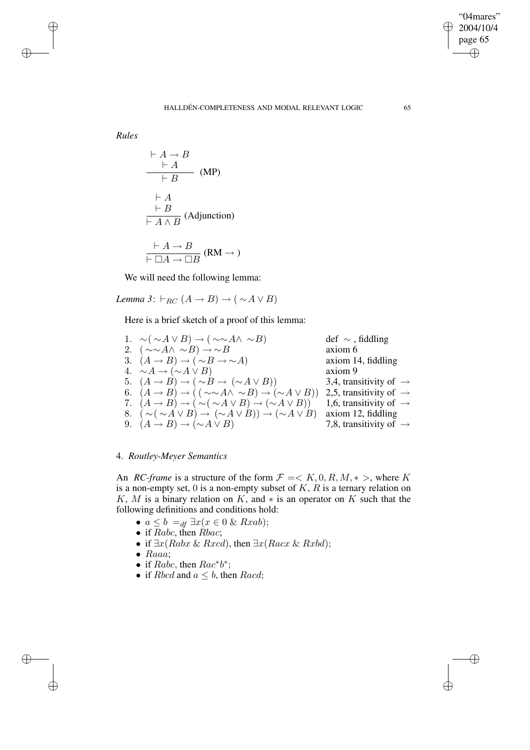$\bigoplus$ 

✐

*Rules*

✐

✐

✐

✐

$$
\frac{\vdash A \to B}{\vdash A} \quad (\text{MP})
$$
\n
$$
\frac{\vdash A}{\vdash B} \quad (\text{MP})
$$
\n
$$
\frac{\vdash A}{\vdash A \land B} \quad (\text{Adjunction})
$$
\n
$$
\frac{\vdash A \to B}{\vdash \Box A \to \Box B} \quad (\text{RM} \to)
$$

We will need the following lemma:

*Lemma* 3:  $\vdash_{BC} (A \rightarrow B) \rightarrow (\sim A \vee B)$ 

Here is a brief sketch of a proof of this lemma:

1.  $\sim$ ( ∼A ∨ B) → ( ∼∼A $\land$  ∼B) def ∼, fiddling 2.  $(\sim \sim A \land \sim B) \rightarrow \sim B$  axiom 6 3.  $(A \rightarrow B) \rightarrow (\sim B \rightarrow \sim A)$ <br>
4.  $\sim A \rightarrow (\sim A \vee B)$ <br>
axiom 9 4.  $∼ A \rightarrow (∼ A ∨ B)$ 5.  $(A \rightarrow B) \rightarrow (\sim B \rightarrow (\sim A \vee B))$  3,4, transitivity of  $\rightarrow$ 6.  $(A \rightarrow B) \rightarrow ( (\sim \sim A \land \sim B) \rightarrow (\sim A \lor B))$  2,5, transitivity of  $\rightarrow$ 7.  $(A \rightarrow B) \rightarrow (\sim(A \vee B) \rightarrow (\sim A \vee B))$  1,6, transitivity of  $\rightarrow$ 8.  $(\sim (\sim A \vee B) \rightarrow (\sim A \vee B)) \rightarrow (\sim A \vee B)$  axiom 12, fiddling 9.  $(A \rightarrow B) \rightarrow (\sim A \lor B)$  7,8, transitivity of  $\rightarrow$ 

# 4. *Routley-Meyer Semantics*

An *RC-frame* is a structure of the form  $\mathcal{F} = \langle K, 0, R, M, * \rangle$ , where K is a non-empty set,  $0$  is a non-empty subset of  $K$ ,  $R$  is a ternary relation on K, M is a binary relation on K, and  $*$  is an operator on K such that the following definitions and conditions hold:

- $a \leq b =_{df} \exists x (x \in 0 \&\ R x a b);$
- if Rabc, then  $Rbac$ ;
- if  $\exists x (Rabx \& Rxcd)$ , then  $\exists x (Racx \& Rxbd)$ ;
- Raaa;
- if  $Rabc$ , then  $Rac^*b^*$ ;
- if  $Rbcd$  and  $a \leq b$ , then  $Racd$ ;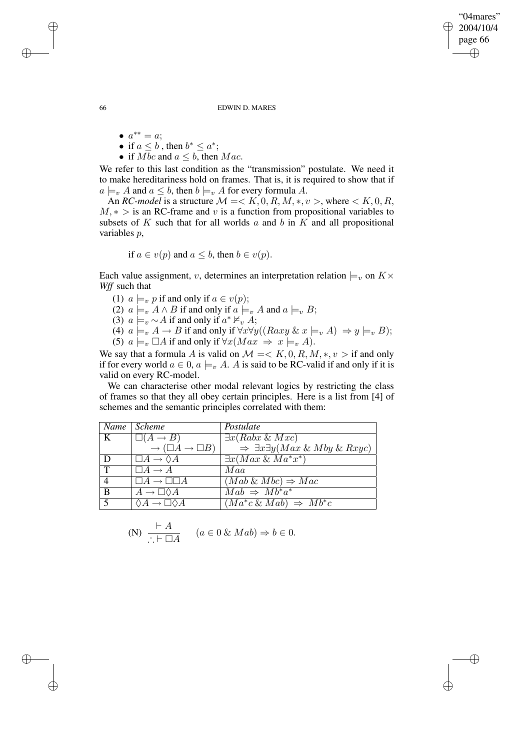"04mares" 2004/10/4 page 66 ✐ ✐

✐

✐

66 EDWIN D. MARES

- $a^{**} = a;$
- if  $a \leq b$ , then  $b^* \leq a^*$ ;
- if Mbc and  $a \leq b$ , then Mac.

We refer to this last condition as the "transmission" postulate. We need it to make hereditariness hold on frames. That is, it is required to show that if  $a \models_v A$  and  $a \leq b$ , then  $b \models_v A$  for every formula A.

An *RC-model* is a structure  $M = < K, 0, R, M, *, v >$ , where  $< K, 0, R$ ,  $M, * >$  is an RC-frame and v is a function from propositional variables to subsets of  $K$  such that for all worlds  $a$  and  $b$  in  $K$  and all propositional variables p,

if 
$$
a \in v(p)
$$
 and  $a \leq b$ , then  $b \in v(p)$ .

Each value assignment, v, determines an interpretation relation  $\models_v$  on  $K\times$ *Wff* such that

- (1)  $a \models_v p$  if and only if  $a \in v(p)$ ;
- (2)  $a \models_v A \land B$  if and only if  $a \models_v A$  and  $a \models_v B$ ;
- (3)  $a \models_v \sim A$  if and only if  $a^* \nvDash_v A$ ;
- (4)  $a \models_v A \to B$  if and only if  $\forall x \forall y ((Raxy \& x \models_v A) \Rightarrow y \models_v B);$ (5)  $a \models_v \Box A$  if and only if  $\forall x (Max \Rightarrow x \models_v A)$ .
- We say that a formula A is valid on  $\mathcal{M} = \langle K, 0, R, M, *, v \rangle$  if and only if for every world  $a \in 0$ ,  $a \models_{v} A$ . A is said to be RC-valid if and only if it is valid on every RC-model.

We can characterise other modal relevant logics by restricting the class of frames so that they all obey certain principles. Here is a list from [4] of schemes and the semantic principles correlated with them:

|             | Name Scheme                               | Postulate                                              |
|-------------|-------------------------------------------|--------------------------------------------------------|
|             | $\square(A \rightarrow B)$                | $\exists x (Rabx \& Mxc)$                              |
|             | $\rightarrow (\Box A \rightarrow \Box B)$ | $\Rightarrow \exists x \exists y (Max \& Mby \& Rxyc)$ |
| D           | $\Box A \rightarrow \Diamond A$           | $\exists x (Max \& Ma^*x^*)$                           |
| $\mathbf T$ | $\Box A \rightarrow A$                    | Maa                                                    |
| 4           | $ A \rightarrow  $                        | $(Mab \& Mbc) \Rightarrow Mac$                         |
| B           | $A \rightarrow \perp \vee A$              | $Mab \Rightarrow Mb^*a^*$                              |
|             |                                           | $(Ma^*c \& Mab) \Rightarrow Mb^*c$                     |

(N) 
$$
\frac{\vdash A}{\therefore \vdash \Box A}
$$
  $(a \in 0 \& \; Mab) \Rightarrow b \in 0.$ 

✐

✐

✐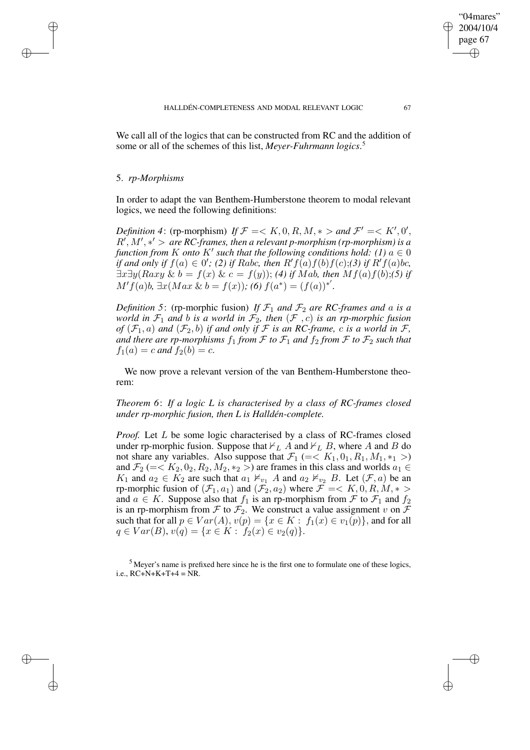We call all of the logics that can be constructed from RC and the addition of some or all of the schemes of this list, *Meyer-Fuhrmann logics*. 5

## 5. *rp-Morphisms*

✐

✐

✐

✐

In order to adapt the van Benthem-Humberstone theorem to modal relevant logics, we need the following definitions:

*Definition* 4: (rp-morphism) *If*  $\mathcal{F} = \langle K, 0, R, M, * \rangle$  and  $\mathcal{F}' = \langle K', 0', K \rangle$  $R^{\prime}, M^{\prime}, *^{\prime} >$  are RC-frames, then a relevant p-morphism (rp-morphism) is a *function from*  $K$  *onto*  $K'$  *such that the following conditions hold:*  $(1)$   $a \in \{0\}$ *if* and only if  $f(a) \in 0'$ ; (2) if Rabc, then  $R'f(a)f(b)f(c);$  (3) if  $R'f(a)bc$ ,  $\exists x \exists y (Raxy \& b = f(x) \& c = f(y));$  *(4) if Mab, then Mf(a)f(b);(5) if*  $M'f(a)b$ ,  $\exists x(Max \& b = f(x));$   $(6) f(a^*) = (f(a))^*'.$ 

*Definition* 5: (rp-morphic fusion) If  $\mathcal{F}_1$  and  $\mathcal{F}_2$  are RC-frames and a is a *world* in  $\mathcal{F}_1$  *and b is a world* in  $\mathcal{F}_2$ , *then*  $(\mathcal{F}, c)$  *is an rp-morphic fusion of*  $(\mathcal{F}_1, a)$  *and*  $(\mathcal{F}_2, b)$  *if and only if*  $\mathcal F$  *is an RC-frame, c is a world in*  $\mathcal F$ *, and there are rp-morphisms*  $f_1$  *from*  $\mathcal F$  *to*  $\mathcal F_1$  *and*  $f_2$  *from*  $\mathcal F$  *to*  $\mathcal F_2$  *such that*  $f_1(a) = c$  *and*  $f_2(b) = c$ .

We now prove a relevant version of the van Benthem-Humberstone theorem:

*Theorem 6*: *If a logic L is characterised by a class of RC-frames closed under rp-morphic fusion, then L is Halldén-complete.*

*Proof.* Let L be some logic characterised by a class of RC-frames closed under rp-morphic fusion. Suppose that  $\nvdash_L A$  and  $\nvdash_L B$ , where A and B do not share any variables. Also suppose that  $\mathcal{F}_1$  (=<  $K_1, 0_1, R_1, M_1, *_1 >$ ) and  $\mathcal{F}_2$  (=<  $K_2$ ,  $0_2$ ,  $R_2$ ,  $M_2$ ,  $*_2$  >) are frames in this class and worlds  $a_1 \in$  $K_1$  and  $a_2 \in \overline{K_2}$  are such that  $a_1 \nvDash_{v_1} A$  and  $a_2 \nvDash_{v_2} B$ . Let  $(\mathcal{F}, a)$  be an rp-morphic fusion of  $(\mathcal{F}_1, a_1)$  and  $(\mathcal{F}_2, a_2)$  where  $\mathcal{F} = \langle K, 0, R, M, * \rangle$ and  $a \in K$ . Suppose also that  $f_1$  is an rp-morphism from  $\mathcal F$  to  $\mathcal F_1$  and  $f_2$ is an rp-morphism from  $\mathcal F$  to  $\mathcal F_2$ . We construct a value assignment v on  $\mathcal F$ such that for all  $p \in Var(A)$ ,  $v(p) = \{x \in K : f_1(x) \in v_1(p)\}$ , and for all  $q \in Var(B), v(q) = \{x \in K : f_2(x) \in v_2(q)\}.$ 

<sup>5</sup> Meyer's name is prefixed here since he is the first one to formulate one of these logics, i.e.,  $RC + N + K + T + 4 = NR$ .

"04mares" 2004/10/4 page 67

✐

✐

✐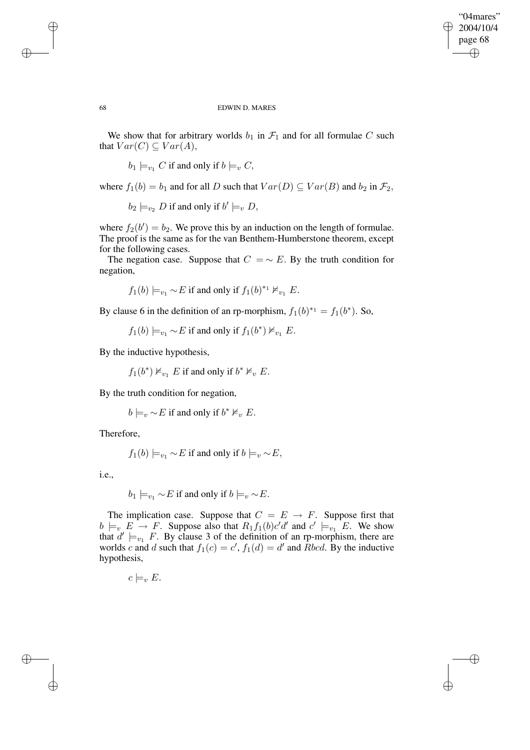✐

#### 68 EDWIN D. MARES

We show that for arbitrary worlds  $b_1$  in  $\mathcal{F}_1$  and for all formulae C such that  $Var(C) \subseteq Var(A)$ ,

 $b_1 \models_{v_1} C$  if and only if  $b \models_v C$ ,

where  $f_1(b) = b_1$  and for all D such that  $Var(D) \subseteq Var(B)$  and  $b_2$  in  $\mathcal{F}_2$ ,

 $b_2 \models_{v_2} D$  if and only if  $b' \models_v D$ ,

where  $f_2(b') = b_2$ . We prove this by an induction on the length of formulae. The proof is the same as for the van Benthem-Humberstone theorem, except for the following cases.

The negation case. Suppose that  $C = \sim E$ . By the truth condition for negation,

 $f_1(b) \models_{v_1} \sim E$  if and only if  $f_1(b)^{*_1} \nvDash_{v_1} E$ .

By clause 6 in the definition of an rp-morphism,  $f_1(b)^{*_1} = f_1(b^*)$ . So,

 $f_1(b) \models_{v_1} \sim E$  if and only if  $f_1(b^*) \nvDash_{v_1} E$ .

By the inductive hypothesis,

 $f_1(b^*) \nvDash_{v_1} E$  if and only if  $b^* \nvDash_v E$ .

By the truth condition for negation,

 $b \models_v \sim E$  if and only if  $b^* \nvDash_v E$ .

Therefore,

$$
f_1(b) \models_{v_1} \sim E
$$
 if and only if  $b \models_v \sim E$ ,

i.e.,

✐

✐

 $b_1 \models_{v_1} \sim E$  if and only if  $b \models_{v} \sim E$ .

The implication case. Suppose that  $C = E \rightarrow F$ . Suppose first that  $b \models_v E \to F$ . Suppose also that  $R_1 f_1(b)c'd'$  and  $c' \models_{v_1} E$ . We show that  $d' \models_{v_1} F$ . By clause 3 of the definition of an rp-morphism, there are worlds c and d such that  $f_1(c) = c'$ ,  $f_1(d) = d'$  and Rbcd. By the inductive hypothesis,

 $c \models_{v} E$ .

✐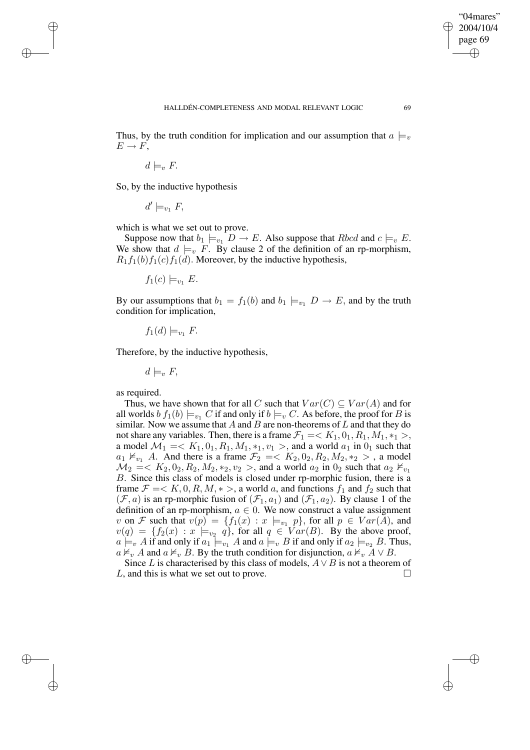✐

Thus, by the truth condition for implication and our assumption that  $a \models_{v}$  $E \rightarrow F$ .

 $d \models_{v} F$ .

✐

✐

✐

✐

So, by the inductive hypothesis

 $d' \models_{v_1} F$ ,

which is what we set out to prove.

Suppose now that  $b_1 \models_{v_1} D \to E$ . Also suppose that  $Rbcd$  and  $c \models_v E$ . We show that  $d \models_{v} F$ . By clause 2 of the definition of an rp-morphism,  $R_1f_1(b)f_1(c)f_1(d)$ . Moreover, by the inductive hypothesis,

 $f_1(c) \models_{v_1} E$ .

By our assumptions that  $b_1 = f_1(b)$  and  $b_1 \models_{v_1} D \rightarrow E$ , and by the truth condition for implication,

$$
f_1(d) \models_{v_1} F.
$$

Therefore, by the inductive hypothesis,

 $d \models_v F$ 

as required.

Thus, we have shown that for all C such that  $Var(C) \subseteq Var(A)$  and for all worlds  $b f_1(b) \models_{v_1} C$  if and only if  $b \models_v C$ . As before, the proof for B is similar. Now we assume that  $A$  and  $B$  are non-theorems of  $L$  and that they do not share any variables. Then, there is a frame  $\mathcal{F}_1 = \langle K_1, 0_1, R_1, M_1, *_1 \rangle$ , a model  $\mathcal{M}_1 = \langle K_1, 0_1, R_1, M_1, *_1, v_1 \rangle$ , and a world  $a_1$  in  $0_1$  such that  $a_1 \nvDash_{v_1} A$ . And there is a frame  $\mathcal{F}_2 = \langle K_2, 0_2, R_2, M_2, *_2 \rangle$ , a model  $M_2 = K_2, 0_2, R_2, M_2, *_2, v_2 >$ , and a world  $a_2$  in  $0_2$  such that  $a_2 \nvDash_{v_1}$ B. Since this class of models is closed under rp-morphic fusion, there is a frame  $\mathcal{F} = \langle K, 0, R, M, * \rangle$ , a world a, and functions  $f_1$  and  $f_2$  such that  $(\mathcal{F}, a)$  is an rp-morphic fusion of  $(\mathcal{F}_1, a_1)$  and  $(\mathcal{F}_1, a_2)$ . By clause 1 of the definition of an rp-morphism,  $a \in 0$ . We now construct a value assignment v on F such that  $v(p) = \{f_1(x) : x \models_{v_1} p\}$ , for all  $p \in Var(A)$ , and  $v(q) = \{f_2(x) : x \models_{v_2} q\}$ , for all  $q \in Var(B)$ . By the above proof,  $a \models_{v} A$  if and only if  $a_1 \models_{v_1} A$  and  $a \models_{v} B$  if and only if  $a_2 \models_{v_2} B$ . Thus,  $a \nvDash_{v} A$  and  $a \nvDash_{v} B$ . By the truth condition for disjunction,  $a \nvDash_{v} A \vee B$ .

Since L is characterised by this class of models,  $A \vee B$  is not a theorem of L, and this is what we set out to prove.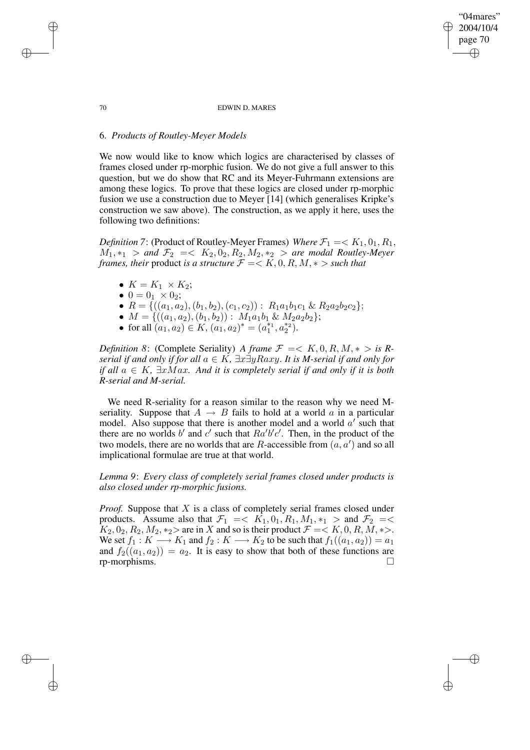#### 70 EDWIN D. MARES

"04mares" 2004/10/4 page 70

✐

✐

✐

✐

# 6. *Products of Routley-Meyer Models*

We now would like to know which logics are characterised by classes of frames closed under rp-morphic fusion. We do not give a full answer to this question, but we do show that RC and its Meyer-Fuhrmann extensions are among these logics. To prove that these logics are closed under rp-morphic fusion we use a construction due to Meyer [14] (which generalises Kripke's construction we saw above). The construction, as we apply it here, uses the following two definitions:

*Definition* 7: (Product of Routley-Meyer Frames) *Where*  $\mathcal{F}_1 = \langle K_1, 0_1, R_1, \rangle$  $M_1, *_1 >$  and  $\mathcal{F}_2 = \langle K_2, 0_2, R_2, M_2, *_2 >$  are modal Routley-Meyer *frames, their* product *is a structure*  $\mathcal{F} = \langle K, 0, R, M, * \rangle$  *such that* 

- $K = K_1 \times K_2$ ;
- $0 = 0_1 \times 0_2;$
- $R = \{((a_1, a_2), (b_1, b_2), (c_1, c_2)) : R_1a_1b_1c_1 \& R_2a_2b_2c_2\};$
- $M = \{((a_1, a_2), (b_1, b_2)) : M_1a_1b_1 \& M_2a_2b_2\};$
- for all  $(a_1, a_2) \in K$ ,  $(a_1, a_2)^* = (a_1^{*1}, a_2^{*2})$ .

*Definition* 8: (Complete Seriality) *A frame*  $\mathcal{F} = \langle K, 0, R, M, * \rangle$  *is* R*serial if and only if for all*  $a \in K$ *,*  $\exists x \exists y Raxy$ *. It is M-serial if and only for if all* a ∈ K*,* ∃xMax*. And it is completely serial if and only if it is both R-serial and M-serial.*

We need R-seriality for a reason similar to the reason why we need Mseriality. Suppose that  $A \rightarrow B$  fails to hold at a world a in a particular model. Also suppose that there is another model and a world  $a'$  such that there are no worlds b' and c' such that  $Ra'b'c'$ . Then, in the product of the two models, there are no worlds that are R-accessible from  $(a, a')$  and so all implicational formulae are true at that world.

*Lemma 9*: *Every class of completely serial frames closed under products is also closed under rp-morphic fusions.*

*Proof.* Suppose that X is a class of completely serial frames closed under products. Assume also that  $\mathcal{F}_1 = \langle K_1, 0_1, R_1, M_1, *_1 \rangle$  and  $\mathcal{F}_2 = \langle K_1, 0_1, R_1, M_1, *_1 \rangle$  $K_2$ ,  $0_2$ ,  $R_2$ ,  $M_2$ ,  $*_2$  are in X and so is their product  $\mathcal{F} = \langle K, 0, R, M, * \rangle$ . We set  $f_1: K \longrightarrow K_1$  and  $f_2: K \longrightarrow K_2$  to be such that  $f_1((a_1, a_2)) = a_1$ and  $f_2((a_1, a_2)) = a_2$ . It is easy to show that both of these functions are rp-morphisms.

✐

✐

✐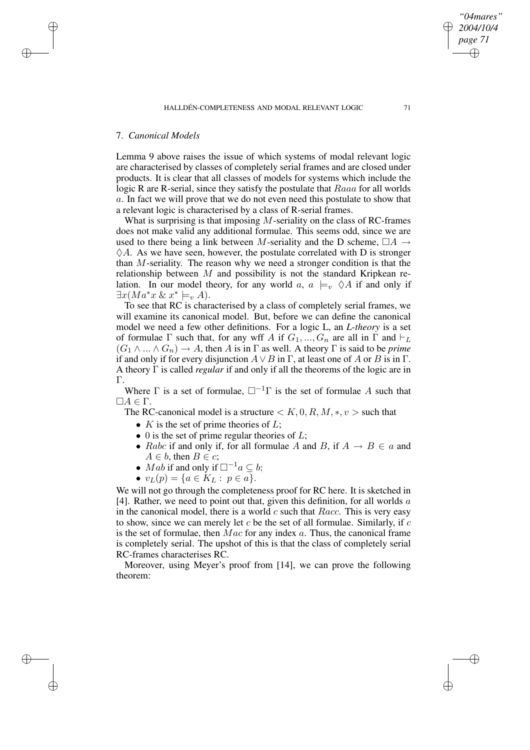# 7. *Canonical Models*

✐

✐

✐

✐

Lemma 9 above raises the issue of which systems of modal relevant logic are characterised by classes of completely serial frames and are closed under products. It is clear that all classes of models for systems which include the logic R are R-serial, since they satisfy the postulate that Raaa for all worlds a. In fact we will prove that we do not even need this postulate to show that a relevant logic is characterised by a class of R-serial frames.

What is surprising is that imposing  $M$ -seriality on the class of RC-frames does not make valid any additional formulae. This seems odd, since we are used to there being a link between M-seriality and the D scheme,  $\Box A \rightarrow$  $\Diamond A$ . As we have seen, however, the postulate correlated with D is stronger than M-seriality. The reason why we need a stronger condition is that the relationship between  $M$  and possibility is not the standard Kripkean relation. In our model theory, for any world a,  $a \models_v \Diamond A$  if and only if  $\exists x (Ma^*x \& x^* \models_v A).$ 

To see that RC is characterised by a class of completely serial frames, we will examine its canonical model. But, before we can define the canonical model we need a few other definitions. For a logic L, an *L-theory* is a set of formulae  $\Gamma$  such that, for any wff A if  $G_1, ..., G_n$  are all in  $\Gamma$  and  $\vdash_L$  $(G_1 \wedge ... \wedge G_n) \rightarrow A$ , then A is in  $\Gamma$  as well. A theory  $\Gamma$  is said to be *prime* if and only if for every disjunction  $A \vee B$  in  $\Gamma$ , at least one of A or B is in  $\Gamma$ . A theory Γ is called *regular* if and only if all the theorems of the logic are in Γ.

Where  $\Gamma$  is a set of formulae,  $\Box^{-1}\Gamma$  is the set of formulae A such that  $\Box A \in \Gamma$ .

The RC-canonical model is a structure  $\lt K, 0, R, M, *, v >$  such that

- $K$  is the set of prime theories of  $L$ ;
- 0 is the set of prime regular theories of  $L$ ;
- Rabc if and only if, for all formulae A and B, if  $A \rightarrow B \in \mathfrak{a}$  and  $A \in b$ , then  $B \in c$ ;
- Mab if and only if  $\square^{-1}a \subseteq b$ ;
- $v_L(p) = \{a \in K_L : p \in a\}.$

We will not go through the completeness proof for RC here. It is sketched in [4]. Rather, we need to point out that, given this definition, for all worlds  $a$ in the canonical model, there is a world  $c$  such that  $Racc$ . This is very easy to show, since we can merely let  $c$  be the set of all formulae. Similarly, if  $c$ is the set of formulae, then  $Mac$  for any index  $a$ . Thus, the canonical frame is completely serial. The upshot of this is that the class of completely serial RC-frames characterises RC.

Moreover, using Meyer's proof from [14], we can prove the following theorem:

*"04mares" 2004/10/4 page 71*

✐

✐

✐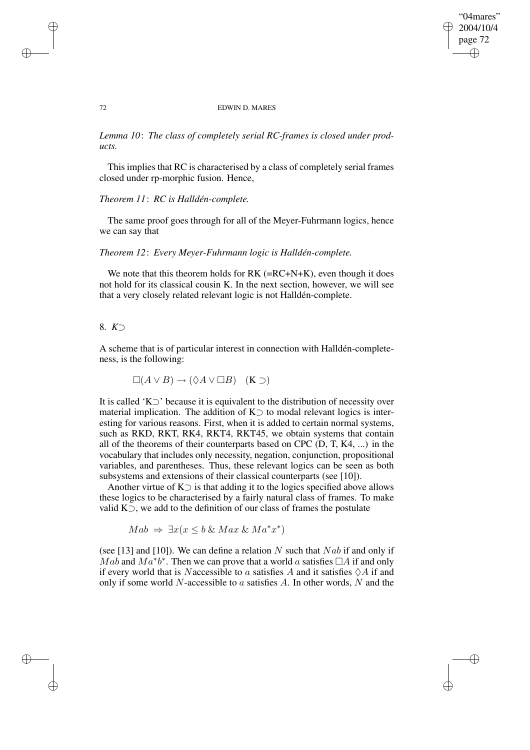## "04mares" 2004/10/4 page 72 ✐ ✐

✐

✐

#### 72 EDWIN D. MARES

*Lemma 10*: *The class of completely serial RC-frames is closed under products.*

This implies that RC is characterised by a class of completely serial frames closed under rp-morphic fusion. Hence,

## *Theorem 11*: *RC is Halldén-complete.*

The same proof goes through for all of the Meyer-Fuhrmann logics, hence we can say that

*Theorem 12*: *Every Meyer-Fuhrmann logic is Halldén-complete.*

We note that this theorem holds for  $RK$  ( $=R\text{C+N+}K$ ), even though it does not hold for its classical cousin K. In the next section, however, we will see that a very closely related relevant logic is not Halldén-complete.

# 8. *K*⊃

A scheme that is of particular interest in connection with Halldén-completeness, is the following:

 $\square(A \vee B) \rightarrow (\lozenge A \vee \square B)$  (K  $\supset$ )

It is called 'K⊃' because it is equivalent to the distribution of necessity over material implication. The addition of  $K$  to modal relevant logics is interesting for various reasons. First, when it is added to certain normal systems, such as RKD, RKT, RK4, RKT4, RKT45, we obtain systems that contain all of the theorems of their counterparts based on CPC (D, T, K4, ...) in the vocabulary that includes only necessity, negation, conjunction, propositional variables, and parentheses. Thus, these relevant logics can be seen as both subsystems and extensions of their classical counterparts (see [10]).

Another virtue of  $K$  is that adding it to the logics specified above allows these logics to be characterised by a fairly natural class of frames. To make valid K⊃, we add to the definition of our class of frames the postulate

 $Mab \Rightarrow \exists x (x \leq b \& Max \& Ma^*x^*)$ 

(see [13] and [10]). We can define a relation N such that  $Nab$  if and only if  $\overline{Mab}$  and  $\overline{Ma^*b^*}$ . Then we can prove that a world a satisfies  $\Box A$  if and only if every world that is Naccessible to a satisfies A and it satisfies  $\Diamond A$  if and only if some world N-accessible to  $\alpha$  satisfies  $A$ . In other words, N and the

✐

✐

✐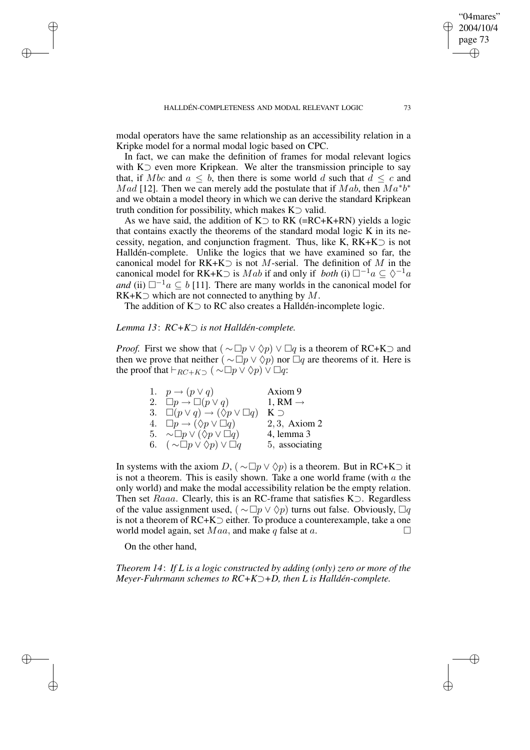modal operators have the same relationship as an accessibility relation in a Kripke model for a normal modal logic based on CPC.

In fact, we can make the definition of frames for modal relevant logics with K⊃ even more Kripkean. We alter the transmission principle to say that, if Mbc and  $a \leq b$ , then there is some world d such that  $d \leq c$  and *Mad* [12]. Then we can merely add the postulate that if Mab, then  $Ma^*b^*$ and we obtain a model theory in which we can derive the standard Kripkean truth condition for possibility, which makes  $K$  valid.

As we have said, the addition of K $\supset$  to RK (=RC+K+RN) yields a logic that contains exactly the theorems of the standard modal logic K in its necessity, negation, and conjunction fragment. Thus, like K,  $RK+K$  is not Halldén-complete. Unlike the logics that we have examined so far, the canonical model for  $RK+K$  is not M-serial. The definition of M in the canonical model for RK+K $\supset$  is *Mab* if and only if *both* (i)  $\Box^{-1}a \subseteq \Diamond^{-1}a$ *and* (ii)  $\Box^{-1}a \subseteq b$  [11]. There are many worlds in the canonical model for  $RK+K$  which are not connected to anything by M.

The addition of K⊃ to RC also creates a Halldén-incomplete logic.

# *Lemma 13*: *RC+K*⊃ *is not Halldén-complete.*

*Proof.* First we show that  $(\sim \Box p \lor \Diamond p) \lor \Box q$  is a theorem of RC+K $\supset$  and then we prove that neither ( $\sim \Box p \vee \Diamond p$ ) nor  $\Box q$  are theorems of it. Here is the proof that  $\vdash_{RC+K} (\sim \Box p \lor \Diamond p) \lor \Box q$ :

| 1. $p \rightarrow (p \vee q)$                            | Axiom 9             |
|----------------------------------------------------------|---------------------|
| 2. $\Box p \rightarrow \Box (p \vee q)$                  | 1, RM $\rightarrow$ |
| 3. $\Box(p \lor q) \rightarrow (\Diamond p \lor \Box q)$ | $K \supset$         |
| 4. $\Box p \rightarrow (\Diamond p \vee \Box q)$         | $2, 3$ , Axiom $2$  |
| 5. $\sim \Box p \vee (\Diamond p \vee \Box q)$           | $4$ , lemma $3$     |
| 6. $(\sim \Box p \vee \Diamond p) \vee \Box q$           | 5, associating      |

In systems with the axiom D, ( $\sim \Box p \lor \Diamond p$ ) is a theorem. But in RC+K⊃ it is not a theorem. This is easily shown. Take a one world frame (with  $a$  the only world) and make the modal accessibility relation be the empty relation. Then set Raaa. Clearly, this is an RC-frame that satisfies K⊃. Regardless of the value assignment used, ( $\sim \Box p \vee \Diamond p$ ) turns out false. Obviously,  $\Box q$ is not a theorem of RC+K⊃ either. To produce a counterexample, take a one world model again, set  $Maa$ , and make q false at a.

On the other hand,

✐

✐

✐

✐

*Theorem 14*: *If L is a logic constructed by adding (only) zero or more of the Meyer-Fuhrmann schemes to RC+K*⊃*+D, then L is Halldén-complete.*

"04mares" 2004/10/4 page 73

✐

✐

✐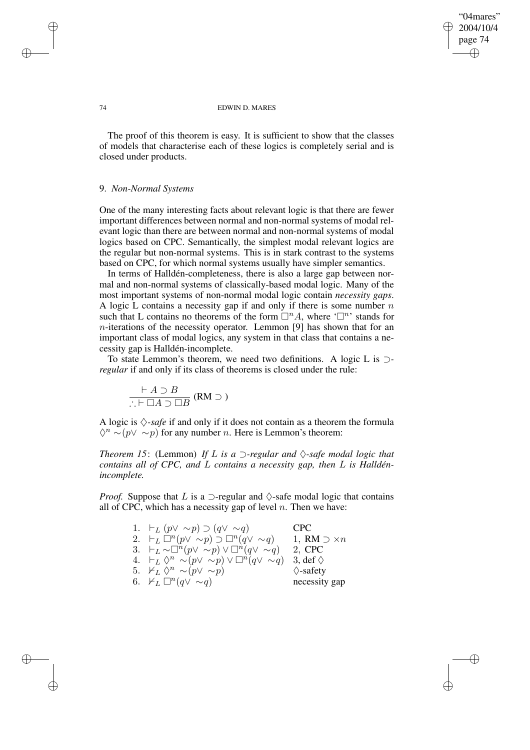✐

#### 74 EDWIN D. MARES

The proof of this theorem is easy. It is sufficient to show that the classes of models that characterise each of these logics is completely serial and is closed under products.

## 9. *Non-Normal Systems*

One of the many interesting facts about relevant logic is that there are fewer important differences between normal and non-normal systems of modal relevant logic than there are between normal and non-normal systems of modal logics based on CPC. Semantically, the simplest modal relevant logics are the regular but non-normal systems. This is in stark contrast to the systems based on CPC, for which normal systems usually have simpler semantics.

In terms of Halldén-completeness, there is also a large gap between normal and non-normal systems of classically-based modal logic. Many of the most important systems of non-normal modal logic contain *necessity gaps*. A logic L contains a necessity gap if and only if there is some number  $n$ such that L contains no theorems of the form  $\Box^n A$ , where ' $\Box^n$ ' stands for  $n$ -iterations of the necessity operator. Lemmon [9] has shown that for an important class of modal logics, any system in that class that contains a necessity gap is Halldén-incomplete.

To state Lemmon's theorem, we need two definitions. A logic L is ⊃ *regular* if and only if its class of theorems is closed under the rule:

$$
\frac{\vdash A \supset B}{\therefore \vdash \Box A \supset \Box B} (RM \supset)
$$

A logic is  $\Diamond$ -*safe* if and only if it does not contain as a theorem the formula  $\Diamond^n \sim (p \lor \sim p)$  for any number *n*. Here is Lemmon's theorem:

*Theorem 15*: (Lemmon) *If L is*  $a \supseteq$ *-regular* and  $\Diamond$ *-safe modal logic that contains all of CPC, and* L *contains a necessity gap, then* L *is Halldénincomplete.*

*Proof.* Suppose that L is a  $\supset$ -regular and  $\Diamond$ -safe modal logic that contains all of CPC, which has a necessity gap of level  $n$ . Then we have:

| 1. $\vdash_L (p \vee \sim p) \supset (q \vee \sim q)$                     | CPC -                    |
|---------------------------------------------------------------------------|--------------------------|
| 2. $\vdash_L \Box^n(p \lor \sim p) \supset \Box^n(q \lor \sim q)$         | 1, RM $\supset \times n$ |
| 3. $\vdash_L \sim \Box^n(p \lor \sim p) \lor \Box^n(q \lor \sim q)$       | 2, CPC                   |
| 4. $\vdash_L \Diamond^n \sim (p \lor \sim p) \lor \Box^n (q \lor \sim q)$ | 3, def $\Diamond$        |
| 5. $\nvDash_L \Diamond^n \sim (p \lor \sim p)$                            | $\Diamond$ -safety       |
| 6. $\mathbb{1}_L \square^n(q \vee \sim q)$                                | necessity gap            |
|                                                                           |                          |

✐

✐

✐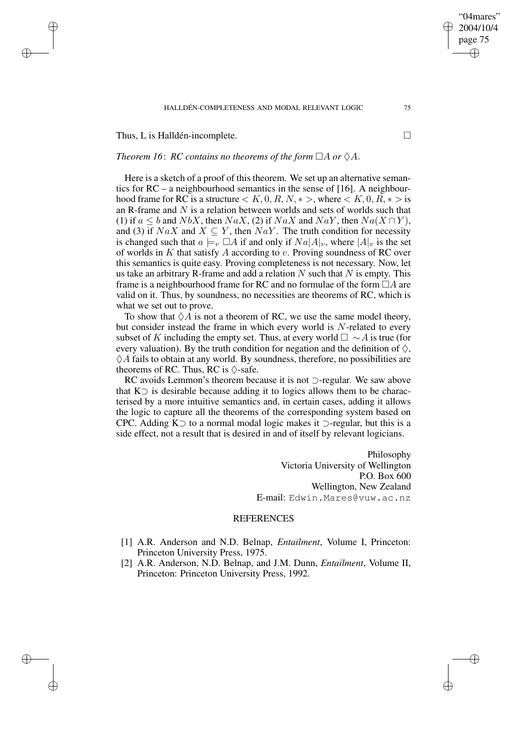#### HALLDÉN-COMPLETENESS AND MODAL RELEVANT LOGIC 75

Thus, L is Halldén-incomplete.

✐

✐

✐

✐

## *Theorem* 16: *RC contains no theorems of the form*  $\Box A$  *or*  $\Diamond A$ .

Here is a sketch of a proof of this theorem. We set up an alternative semantics for RC – a neighbourhood semantics in the sense of [16]. A neighbourhood frame for RC is a structure  $\lt K, 0, R, N, * >$ , where  $\lt K, 0, R, * >$  is an R-frame and  $N$  is a relation between worlds and sets of worlds such that (1) if  $a \leq b$  and  $NbX$ , then  $NaX$ , (2) if  $NaX$  and  $NaY$ , then  $Na(X \cap Y)$ , and (3) if  $NaX$  and  $X \subseteq Y$ , then  $NaY$ . The truth condition for necessity is changed such that  $a \models_v \Box A$  if and only if  $Na|A|_v$ , where  $|A|_v$  is the set of worlds in K that satisfy A according to v. Proving soundness of RC over this semantics is quite easy. Proving completeness is not necessary. Now, let us take an arbitrary R-frame and add a relation  $N$  such that  $N$  is empty. This frame is a neighbourhood frame for RC and no formulae of the form  $\Box A$  are valid on it. Thus, by soundness, no necessities are theorems of RC, which is what we set out to prove.

To show that  $\Diamond A$  is not a theorem of RC, we use the same model theory, but consider instead the frame in which every world is  $N$ -related to every subset of K including the empty set. Thus, at every world  $\Box \sim A$  is true (for every valuation). By the truth condition for negation and the definition of  $\diamondsuit$ ,  $\Diamond A$  fails to obtain at any world. By soundness, therefore, no possibilities are theorems of RC. Thus, RC is  $\Diamond$ -safe.

RC avoids Lemmon's theorem because it is not ⊃-regular. We saw above that K⊃ is desirable because adding it to logics allows them to be characterised by a more intuitive semantics and, in certain cases, adding it allows the logic to capture all the theorems of the corresponding system based on CPC. Adding K⊃ to a normal modal logic makes it ⊃-regular, but this is a side effect, not a result that is desired in and of itself by relevant logicians.

> Philosophy Victoria University of Wellington P.O. Box 600 Wellington, New Zealand E-mail: Edwin.Mares@vuw.ac.nz

## **REFERENCES**

- [1] A.R. Anderson and N.D. Belnap, *Entailment*, Volume I, Princeton: Princeton University Press, 1975.
- [2] A.R. Anderson, N.D. Belnap, and J.M. Dunn, *Entailment*, Volume II, Princeton: Princeton University Press, 1992.

"04mares" 2004/10/4 page 75

✐

✐

✐